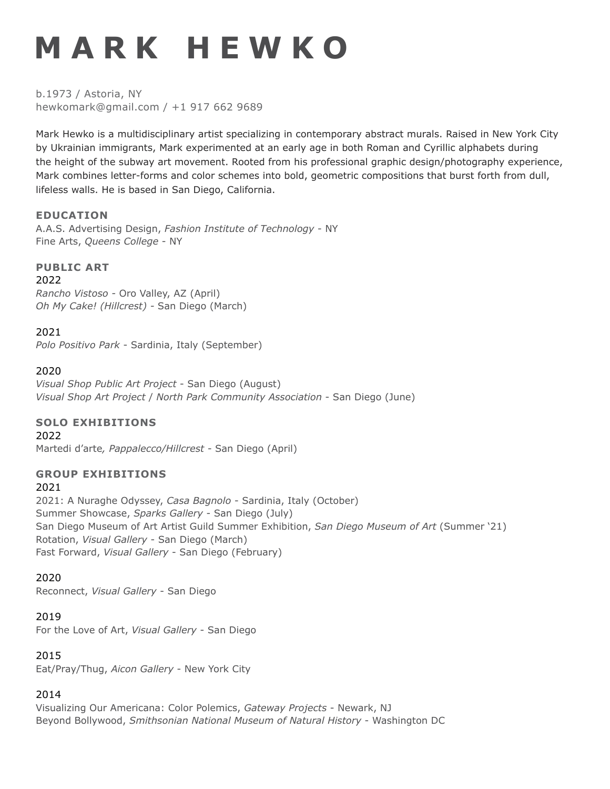# **M A R K H E W K O**

b.1973 / Astoria, NY hewkomark@gmail.com / +1 917 662 9689

Mark Hewko is a multidisciplinary artist specializing in contemporary abstract murals. Raised in New York City by Ukrainian immigrants, Mark experimented at an early age in both Roman and Cyrillic alphabets during the height of the subway art movement. Rooted from his professional graphic design/photography experience, Mark combines letter-forms and color schemes into bold, geometric compositions that burst forth from dull, lifeless walls. He is based in San Diego, California.

#### **EDUCATION**

A.A.S. Advertising Design, *Fashion Institute of Technology* - NY Fine Arts, *Queens College* - NY

**PUBLIC ART** 2022

*Rancho Vistoso -* Oro Valley, AZ (April) *Oh My Cake! (Hillcrest) -* San Diego (March)

### 2021

*Polo Positivo Park* - Sardinia, Italy (September)

#### 2020

*Visual Shop Public Art Project* - San Diego (August) *Visual Shop Art Project* / *North Park Community Association* - San Diego (June)

#### **SOLO EXHIBITIONS**

#### 2022

Martedi d'arte*, Pappalecco/Hillcrest -* San Diego (April)

## **GROUP EXHIBITIONS**

#### 2021

2021: A Nuraghe Odyssey, *Casa Bagnolo* - Sardinia, Italy (October) Summer Showcase, *Sparks Gallery* - San Diego (July) San Diego Museum of Art Artist Guild Summer Exhibition, *San Diego Museum of Art* (Summer '21) Rotation, *Visual Gallery* - San Diego (March) Fast Forward, *Visual Gallery* - San Diego (February)

#### 2020

Reconnect, *Visual Gallery* - San Diego

2019

For the Love of Art, *Visual Gallery* - San Diego

#### 2015

Eat/Pray/Thug, *Aicon Gallery* - New York City

#### 2014

Visualizing Our Americana: Color Polemics, *Gateway Projects* - Newark, NJ Beyond Bollywood, *Smithsonian National Museum of Natural History* - Washington DC